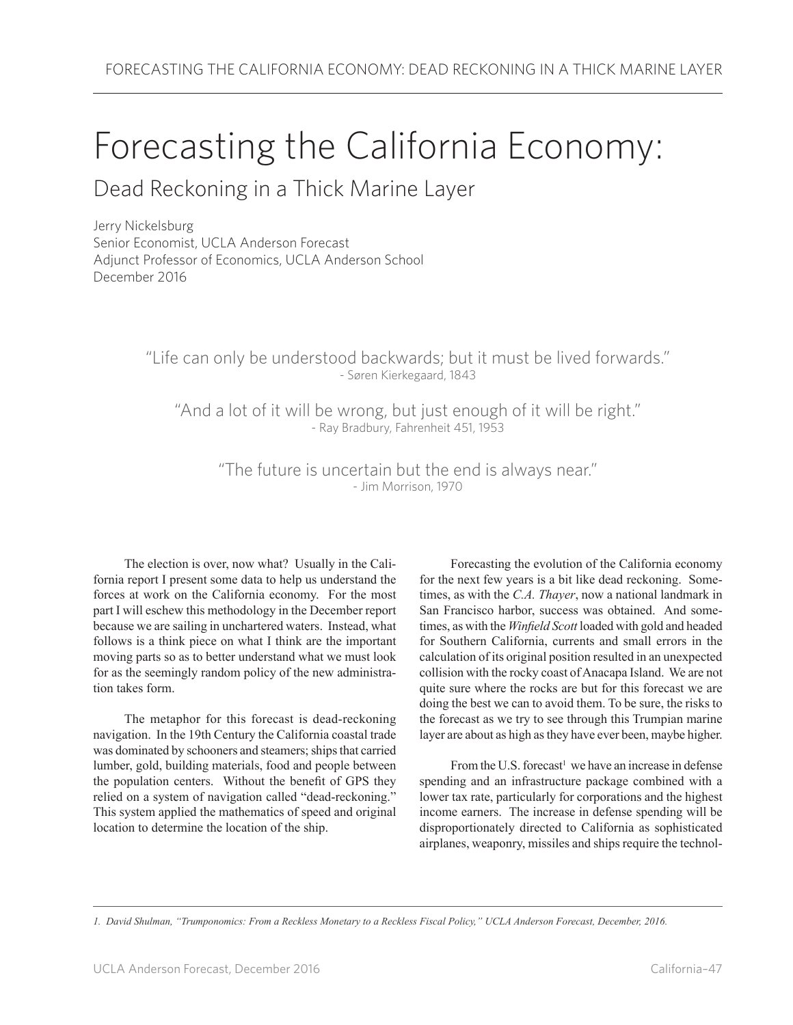## Forecasting the California Economy:

## Dead Reckoning in a Thick Marine Layer

Jerry Nickelsburg Senior Economist, UCLA Anderson Forecast Adjunct Professor of Economics, UCLA Anderson School December 2016

> "Life can only be understood backwards; but it must be lived forwards." - Søren Kierkegaard, 1843

"And a lot of it will be wrong, but just enough of it will be right." - Ray Bradbury, Fahrenheit 451, 1953

"The future is uncertain but the end is always near." - Jim Morrison, 1970

The election is over, now what? Usually in the California report I present some data to help us understand the forces at work on the California economy. For the most part I will eschew this methodology in the December report because we are sailing in unchartered waters. Instead, what follows is a think piece on what I think are the important moving parts so as to better understand what we must look for as the seemingly random policy of the new administration takes form.

The metaphor for this forecast is dead-reckoning navigation. In the 19th Century the California coastal trade was dominated by schooners and steamers; ships that carried lumber, gold, building materials, food and people between the population centers. Without the benefit of GPS they relied on a system of navigation called "dead-reckoning." This system applied the mathematics of speed and original location to determine the location of the ship.

Forecasting the evolution of the California economy for the next few years is a bit like dead reckoning. Sometimes, as with the *C.A. Thayer*, now a national landmark in San Francisco harbor, success was obtained. And sometimes, as with the *Winfield Scott* loaded with gold and headed for Southern California, currents and small errors in the calculation of its original position resulted in an unexpected collision with the rocky coast of Anacapa Island. We are not quite sure where the rocks are but for this forecast we are doing the best we can to avoid them. To be sure, the risks to the forecast as we try to see through this Trumpian marine layer are about as high as they have ever been, maybe higher.

From the U.S. forecast<sup>1</sup> we have an increase in defense spending and an infrastructure package combined with a lower tax rate, particularly for corporations and the highest income earners. The increase in defense spending will be disproportionately directed to California as sophisticated airplanes, weaponry, missiles and ships require the technol-

*1. David Shulman, "Trumponomics: From a Reckless Monetary to a Reckless Fiscal Policy," UCLA Anderson Forecast, December, 2016.*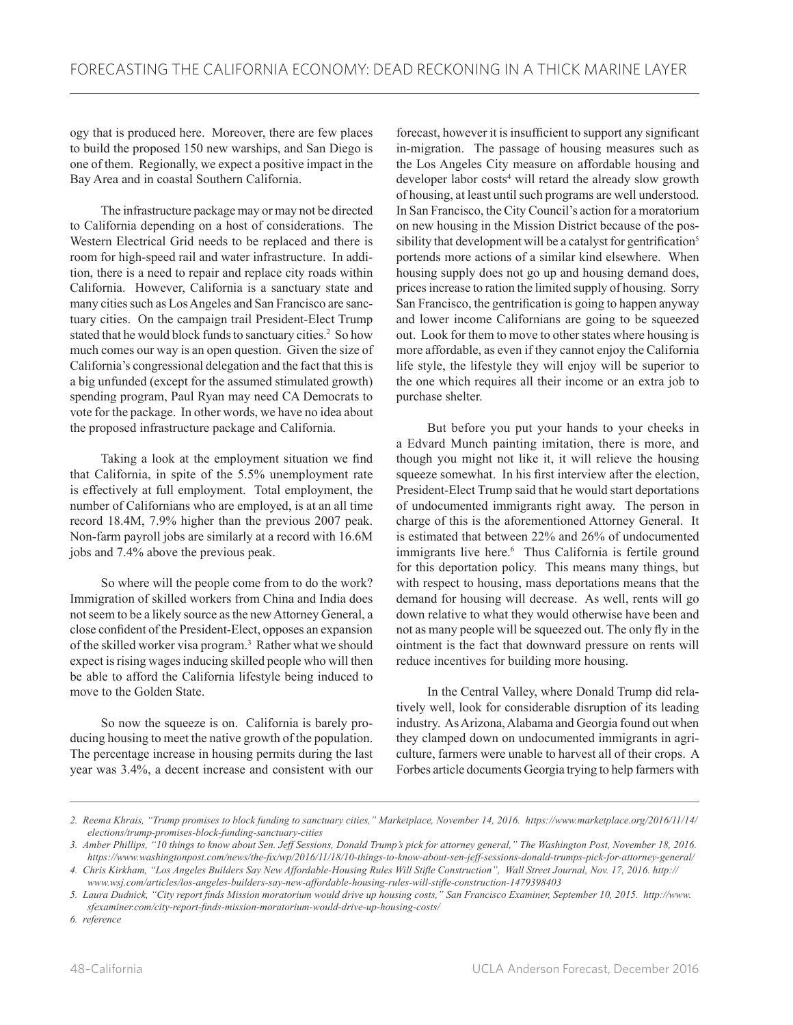ogy that is produced here. Moreover, there are few places to build the proposed 150 new warships, and San Diego is one of them. Regionally, we expect a positive impact in the Bay Area and in coastal Southern California.

The infrastructure package may or may not be directed to California depending on a host of considerations. The Western Electrical Grid needs to be replaced and there is room for high-speed rail and water infrastructure. In addition, there is a need to repair and replace city roads within California. However, California is a sanctuary state and many cities such as Los Angeles and San Francisco are sanctuary cities. On the campaign trail President-Elect Trump stated that he would block funds to sanctuary cities.<sup>2</sup> So how much comes our way is an open question. Given the size of California's congressional delegation and the fact that this is a big unfunded (except for the assumed stimulated growth) spending program, Paul Ryan may need CA Democrats to vote for the package. In other words, we have no idea about the proposed infrastructure package and California.

Taking a look at the employment situation we find that California, in spite of the 5.5% unemployment rate is effectively at full employment. Total employment, the number of Californians who are employed, is at an all time record 18.4M, 7.9% higher than the previous 2007 peak. Non-farm payroll jobs are similarly at a record with 16.6M jobs and 7.4% above the previous peak.

So where will the people come from to do the work? Immigration of skilled workers from China and India does not seem to be a likely source as the new Attorney General, a close confident of the President-Elect, opposes an expansion of the skilled worker visa program.3 Rather what we should expect is rising wages inducing skilled people who will then be able to afford the California lifestyle being induced to move to the Golden State.

So now the squeeze is on. California is barely producing housing to meet the native growth of the population. The percentage increase in housing permits during the last year was 3.4%, a decent increase and consistent with our forecast, however it is insufficient to support any significant in-migration. The passage of housing measures such as the Los Angeles City measure on affordable housing and developer labor costs<sup>4</sup> will retard the already slow growth of housing, at least until such programs are well understood. In San Francisco, the City Council's action for a moratorium on new housing in the Mission District because of the possibility that development will be a catalyst for gentrification<sup>5</sup> portends more actions of a similar kind elsewhere. When housing supply does not go up and housing demand does, prices increase to ration the limited supply of housing. Sorry San Francisco, the gentrification is going to happen anyway and lower income Californians are going to be squeezed out. Look for them to move to other states where housing is more affordable, as even if they cannot enjoy the California life style, the lifestyle they will enjoy will be superior to the one which requires all their income or an extra job to purchase shelter.

But before you put your hands to your cheeks in a Edvard Munch painting imitation, there is more, and though you might not like it, it will relieve the housing squeeze somewhat. In his first interview after the election, President-Elect Trump said that he would start deportations of undocumented immigrants right away. The person in charge of this is the aforementioned Attorney General. It is estimated that between 22% and 26% of undocumented immigrants live here.<sup>6</sup> Thus California is fertile ground for this deportation policy. This means many things, but with respect to housing, mass deportations means that the demand for housing will decrease. As well, rents will go down relative to what they would otherwise have been and not as many people will be squeezed out. The only fly in the ointment is the fact that downward pressure on rents will reduce incentives for building more housing.

In the Central Valley, where Donald Trump did relatively well, look for considerable disruption of its leading industry. As Arizona, Alabama and Georgia found out when they clamped down on undocumented immigrants in agriculture, farmers were unable to harvest all of their crops. A Forbes article documents Georgia trying to help farmers with

*<sup>2.</sup> Reema Khrais, "Trump promises to block funding to sanctuary cities," Marketplace, November 14, 2016. https://www.marketplace.org/2016/11/14/ elections/trump-promises-block-funding-sanctuary-cities*

*<sup>3.</sup> Amber Phillips, "10 things to know about Sen. Jeff Sessions, Donald Trump's pick for attorney general," The Washington Post, November 18, 2016. https://www.washingtonpost.com/news/the-fix/wp/2016/11/18/10-things-to-know-about-sen-jeff-sessions-donald-trumps-pick-for-attorney-general/* 

*<sup>4.</sup> Chris Kirkham, "Los Angeles Builders Say New Affordable-Housing Rules Will Stifle Construction", Wall Street Journal, Nov. 17, 2016. http:// www.wsj.com/articles/los-angeles-builders-say-new-affordable-housing-rules-will-stifle-construction-1479398403* 

*<sup>5.</sup> Laura Dudnick, "City report finds Mission moratorium would drive up housing costs," San Francisco Examiner, September 10, 2015. http://www. sfexaminer.com/city-report-finds-mission-moratorium-would-drive-up-housing-costs/* 

*<sup>6.</sup> reference*